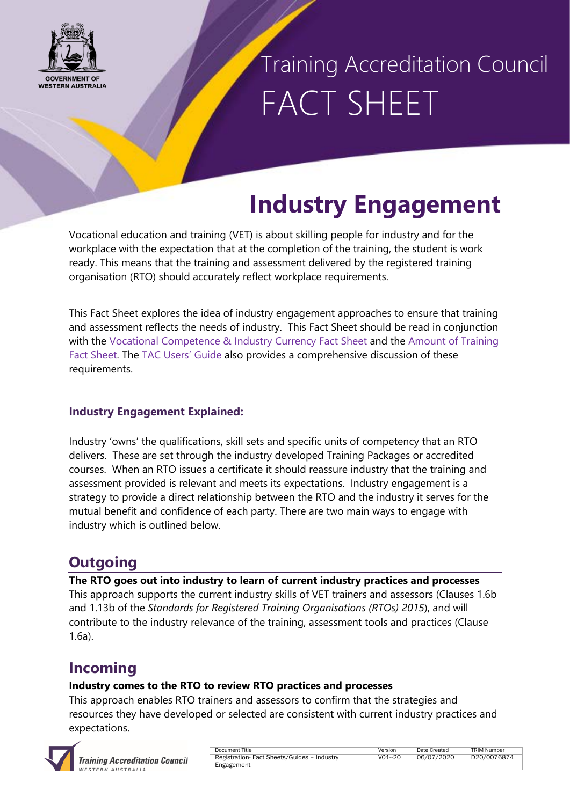

### Training Accreditation Council FACT SHEET

### **Industry Engagement**

Vocational education and training (VET) is about skilling people for industry and for the workplace with the expectation that at the completion of the training, the student is work ready. This means that the training and assessment delivered by the registered training organisation (RTO) should accurately reflect workplace requirements.

This Fact Sheet explores the idea of industry engagement approaches to ensure that training and assessment reflects the needs of industry. This Fact Sheet should be read in conjunction with the [Vocational Competence & Industry Currency Fact Sheet](http://www.tac.wa.gov.au/StandardsRTOs2015/Pages/Fact%20Sheets/Fact-sheets.aspx) and the [Amount of Training](http://www.tac.wa.gov.au/StandardsRTOs2015/Pages/Fact%20Sheets/Fact-sheets.aspx)  [Fact Sheet.](http://www.tac.wa.gov.au/StandardsRTOs2015/Pages/Fact%20Sheets/Fact-sheets.aspx) The [TAC Users' Guide](https://tac.wa.gov.au/StandardsRTOs2015/Pages/default.aspx) also provides a comprehensive discussion of these requirements.

#### **Industry Engagement Explained:**

Industry 'owns' the qualifications, skill sets and specific units of competency that an RTO delivers. These are set through the industry developed Training Packages or accredited courses. When an RTO issues a certificate it should reassure industry that the training and assessment provided is relevant and meets its expectations. Industry engagement is a strategy to provide a direct relationship between the RTO and the industry it serves for the mutual benefit and confidence of each party. There are two main ways to engage with industry which is outlined below.

### **Outgoing**

**The RTO goes out into industry to learn of current industry practices and processes** This approach supports the current industry skills of VET trainers and assessors (Clauses 1.6b and 1.13b of the *Standards for Registered Training Organisations (RTOs) 2015*), and will contribute to the industry relevance of the training, assessment tools and practices (Clause 1.6a).

### **Incoming**

#### **Industry comes to the RTO to review RTO practices and processes**

This approach enables RTO trainers and assessors to confirm that the strategies and resources they have developed or selected are consistent with current industry practices and expectations.



| Document Title                              | Version | Date Created | TRIM Number |
|---------------------------------------------|---------|--------------|-------------|
| Registration- Fact Sheets/Guides - Industry | V01-20  | 06/07/2020   | D20/0076874 |
| Engagement                                  |         |              |             |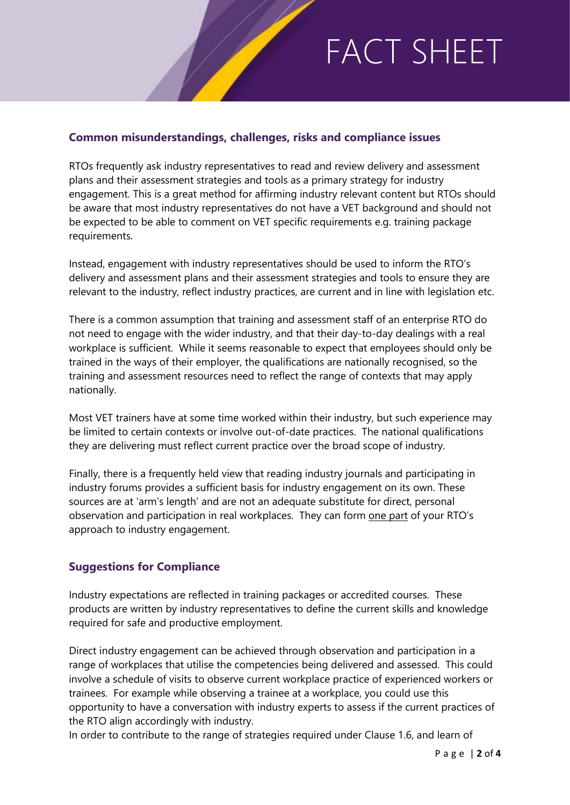# FACT SHEET

#### **Common misunderstandings, challenges, risks and compliance issues**

RTOs frequently ask industry representatives to read and review delivery and assessment plans and their assessment strategies and tools as a primary strategy for industry engagement. This is a great method for affirming industry relevant content but RTOs should be aware that most industry representatives do not have a VET background and should not be expected to be able to comment on VET specific requirements e.g. training package requirements.

Instead, engagement with industry representatives should be used to inform the RTO's delivery and assessment plans and their assessment strategies and tools to ensure they are relevant to the industry, reflect industry practices, are current and in line with legislation etc.

There is a common assumption that training and assessment staff of an enterprise RTO do not need to engage with the wider industry, and that their day-to-day dealings with a real workplace is sufficient. While it seems reasonable to expect that employees should only be trained in the ways of their employer, the qualifications are nationally recognised, so the training and assessment resources need to reflect the range of contexts that may apply nationally.

Most VET trainers have at some time worked within their industry, but such experience may be limited to certain contexts or involve out-of-date practices. The national qualifications they are delivering must reflect current practice over the broad scope of industry.

Finally, there is a frequently held view that reading industry journals and participating in industry forums provides a sufficient basis for industry engagement on its own. These sources are at 'arm's length' and are not an adequate substitute for direct, personal observation and participation in real workplaces. They can form one part of your RTO's approach to industry engagement.

#### **Suggestions for Compliance**

Industry expectations are reflected in training packages or accredited courses. These products are written by industry representatives to define the current skills and knowledge required for safe and productive employment.

Direct industry engagement can be achieved through observation and participation in a range of workplaces that utilise the competencies being delivered and assessed. This could involve a schedule of visits to observe current workplace practice of experienced workers or trainees. For example while observing a trainee at a workplace, you could use this opportunity to have a conversation with industry experts to assess if the current practices of the RTO align accordingly with industry.

In order to contribute to the range of strategies required under Clause 1.6, and learn of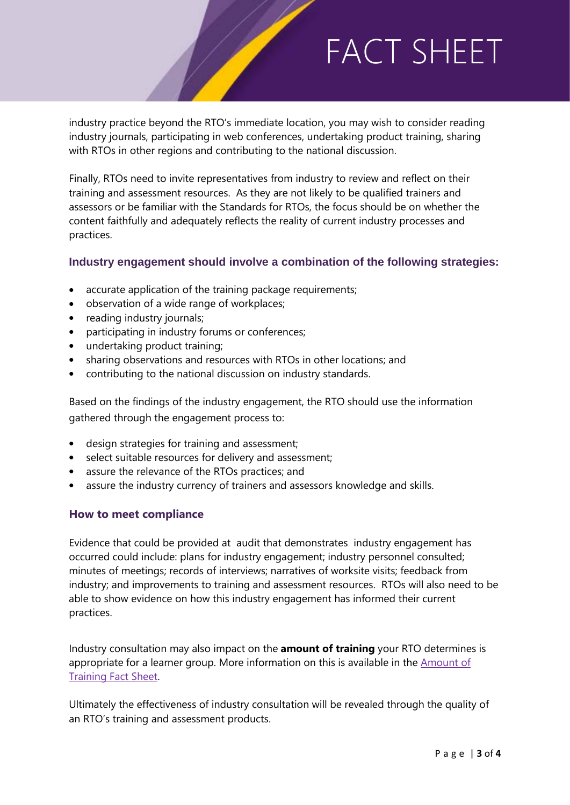# FACT SHEET

industry practice beyond the RTO's immediate location, you may wish to consider reading industry journals, participating in web conferences, undertaking product training, sharing with RTOs in other regions and contributing to the national discussion.

Finally, RTOs need to invite representatives from industry to review and reflect on their training and assessment resources. As they are not likely to be qualified trainers and assessors or be familiar with the Standards for RTOs, the focus should be on whether the content faithfully and adequately reflects the reality of current industry processes and practices.

#### **Industry engagement should involve a combination of the following strategies:**

- accurate application of the training package requirements;
- observation of a wide range of workplaces;
- reading industry journals;
- participating in industry forums or conferences;
- undertaking product training;
- sharing observations and resources with RTOs in other locations; and
- contributing to the national discussion on industry standards.

Based on the findings of the industry engagement, the RTO should use the information gathered through the engagement process to:

- design strategies for training and assessment;
- select suitable resources for delivery and assessment;
- assure the relevance of the RTOs practices; and
- assure the industry currency of trainers and assessors knowledge and skills.

#### **How to meet compliance**

Evidence that could be provided at audit that demonstrates industry engagement has occurred could include: plans for industry engagement; industry personnel consulted; minutes of meetings; records of interviews; narratives of worksite visits; feedback from industry; and improvements to training and assessment resources. RTOs will also need to be able to show evidence on how this industry engagement has informed their current practices.

Industry consultation may also impact on the **amount of training** your RTO determines is appropriate for a learner group. More information on this is available in the Amount of [Training Fact Sheet.](http://www.tac.wa.gov.au/StandardsRTOs2015/Pages/Fact%20Sheets/Fact-sheets.aspx)

Ultimately the effectiveness of industry consultation will be revealed through the quality of an RTO's training and assessment products.